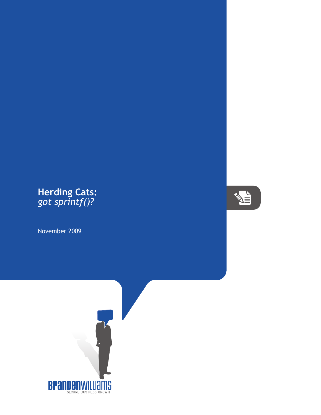## Herding Cats:<br>got sprintf()?

November 2009



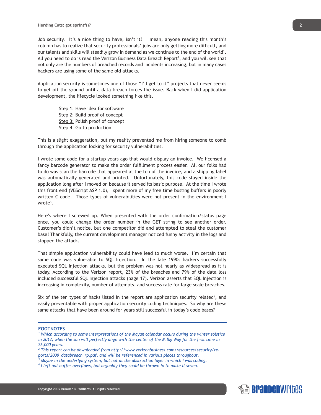Job security. It's a nice thing to have, isn't it? I mean, anyone reading this month's column has to realize that security professionals' jobs are only getting more difficult, and our talents and skills will steadily grow in demand as we continue to the end of the world<sup>1</sup>. All you need to do is read the Verizon Business Data Breach Report<sup>2</sup>, and you will see that not only are the numbers of breached records and incidents increasing, but in many cases hackers are using some of the same old attacks.

Application security is sometimes one of those "I'll get to it" projects that never seems to get off the ground until a data breach forces the issue. Back when I did application development, the lifecycle looked something like this.

> Step 1: Have idea for software Step 2: Build proof of concept Step 3: Polish proof of concept Step 4: Go to production

This is a slight exaggeration, but my reality prevented me from hiring someone to comb through the application looking for security vulnerabilities.

I wrote some code for a startup years ago that would display an invoice. We licensed a fancy barcode generator to make the order fulfillment process easier. All our folks had to do was scan the barcode that appeared at the top of the invoice, and a shipping label was automatically generated and printed. Unfortunately, this code stayed inside the application long after I moved on because it served its basic purpose. At the time I wrote this front end (VBScript ASP 1.0), I spent more of my free time busting buffers in poorly written C code. Those types of vulnerabilities were not present in the environment I wrote<sup>3</sup>.

Here's where I screwed up. When presented with the order confirmation/status page once, you could change the order number in the GET string to see another order. Customer's didn't notice, but one competitor did and attempted to steal the customer base! Thankfully, the current development manager noticed funny activity in the logs and stopped the attack.

That simple application vulnerability could have lead to much worse. I'm certain that same code was vulnerable to SQL Injection. In the late 1990s hackers successfully executed SQL Injection attacks, but the problem was not nearly as widespread as it is today. According to the Verizon report, 23% of the breaches and 79% of the data loss included successful SQL Injection attacks (page 17). Verizon asserts that SQL Injection is increasing in complexity, number of attempts, and success rate for large scale breaches.

Six of the ten types of hacks listed in the report are application security related<sup>4</sup>, and easily preventable with proper application security coding techniques. So why are these same attacks that have been around for years still successful in today's code bases?

## **FOOTNOTES**

- <sup>1</sup> Which according to some interpretations of the Mayan calendar occurs during the winter solstice in 2012, when the sun will perfectly align with the center of the Milky Way for the first time in *26,000 years.*
- <sup>2</sup> This report can be downloaded from http://www.verizonbusiness.com/resources/security/re*ports/2009\_databreach\_rp.pdf, and will be referenced in various places throughout.*
- *3 Maybe in the underlying system, but not at the abstraction layer in which I was coding.*
- *4 I left out buffer overflows, but arguably they could be thrown in to make it seven.*

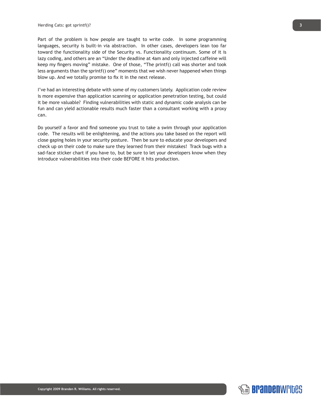Part of the problem is how people are taught to write code. In some programming languages, security is built-in via abstraction. In other cases, developers lean too far toward the functionality side of the Security vs. Functionality continuum. Some of it is lazy coding, and others are an "Under the deadline at 4am and only injected caffeine will keep my fingers moving" mistake. One of those, "The printf() call was shorter and took less arguments than the sprintf() one" moments that we wish never happened when things blow up. And we totally promise to fix it in the next release.

I've had an interesting debate with some of my customers lately. Application code review is more expensive than application scanning or application penetration testing, but could it be more valuable? Finding vulnerabilities with static and dynamic code analysis can be fun and can yield actionable results much faster than a consultant working with a proxy can.

Do yourself a favor and find someone you trust to take a swim through your application code. The results will be enlightening, and the actions you take based on the report will close gaping holes in your security posture. Then be sure to educate your developers and check up on their code to make sure they learned from their mistakes! Track bugs with a sad-face sticker chart if you have to, but be sure to let your developers know when they introduce vulnerabilities into their code BEFORE it hits production.

**SE Brandenwri**des